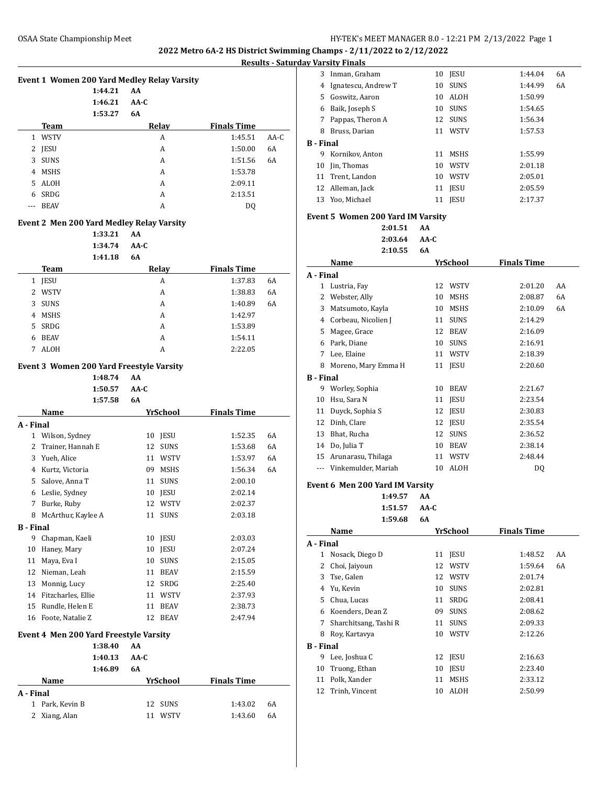# **Results - Saturday Varsity Finals**

|    |             |         | Event 1 Women 200 Yard Medley Relay Varsity |                    |        |
|----|-------------|---------|---------------------------------------------|--------------------|--------|
|    |             | 1:44.21 | AA                                          |                    |        |
|    |             | 1:46.21 | AA-C                                        |                    |        |
|    |             | 1:53.27 | 6A                                          |                    |        |
|    | Team        |         | Relay                                       | <b>Finals Time</b> |        |
| 1. | <b>WSTV</b> |         | A                                           | 1:45.51            | $AA-C$ |
| 2  | <b>IESU</b> |         | A                                           | 1:50.00            | 6A     |
| 3  | <b>SUNS</b> |         | A                                           | 1:51.56            | 6A     |
| 4  | <b>MSHS</b> |         | A                                           | 1:53.78            |        |
| 5  | ALOH        |         | A                                           | 2:09.11            |        |
| 6  | SRDG        |         | A                                           | 2:13.51            |        |
|    | <b>BEAV</b> |         | A                                           | D <sub>0</sub>     |        |
|    |             |         |                                             |                    |        |

# **Event 2 Men 200 Yard Medley Relay Varsity**

**1:33.21 AA 1:34.74 AA-C 1:41.18 6A**

|    |             | 1.41.10 | oл    |                    |    |
|----|-------------|---------|-------|--------------------|----|
|    | <b>Team</b> |         | Relay | <b>Finals Time</b> |    |
| 1  | <b>IESU</b> |         | A     | 1:37.83            | 6A |
| 2  | WSTV        |         | A     | 1:38.83            | 6A |
| 3  | <b>SUNS</b> |         | А     | 1:40.89            | 6A |
| 4  | <b>MSHS</b> |         | A     | 1:42.97            |    |
| 5. | SRDG        |         | A     | 1:53.89            |    |
| 6  | <b>BEAV</b> |         | А     | 1:54.11            |    |
|    | <b>ALOH</b> |         | А     | 2:22.05            |    |

#### **Event 3 Women 200 Yard Freestyle Varsity**

**1:48.74 AA**

|                  |                                        | 1:50.57 | $AA-C$    |    |             |                    |    |  |
|------------------|----------------------------------------|---------|-----------|----|-------------|--------------------|----|--|
|                  |                                        | 1:57.58 | <b>6A</b> |    |             |                    |    |  |
|                  | Name                                   |         |           |    | YrSchool    | <b>Finals Time</b> |    |  |
| A - Final        |                                        |         |           |    |             |                    |    |  |
| $\mathbf{1}$     | Wilson, Sydney                         |         |           | 10 | <b>JESU</b> | 1:52.35            | 6A |  |
| 2                | Trainer, Hannah E                      |         |           | 12 | <b>SUNS</b> | 1:53.68            | 6A |  |
| 3                | Yueh, Alice                            |         |           | 11 | <b>WSTV</b> | 1:53.97            | 6A |  |
| 4                | Kurtz, Victoria                        |         |           | 09 | <b>MSHS</b> | 1:56.34            | 6A |  |
| 5                | Salove, Anna T                         |         |           | 11 | <b>SUNS</b> | 2:00.10            |    |  |
| 6                | Leslie, Sydney                         |         |           | 10 | <b>IESU</b> | 2:02.14            |    |  |
| 7                | Burke, Ruby                            |         |           | 12 | WSTV        | 2:02.37            |    |  |
| 8                | McArthur, Kaylee A                     |         |           | 11 | <b>SUNS</b> | 2:03.18            |    |  |
| <b>B</b> - Final |                                        |         |           |    |             |                    |    |  |
| 9                | Chapman, Kaeli                         |         |           | 10 | JESU        | 2:03.03            |    |  |
| 10               | Haney, Mary                            |         |           | 10 | <b>JESU</b> | 2:07.24            |    |  |
| 11               | Maya, Eva I                            |         |           | 10 | <b>SUNS</b> | 2:15.05            |    |  |
| 12               | Nieman, Leah                           |         |           | 11 | <b>BEAV</b> | 2:15.59            |    |  |
| 13               | Monnig, Lucy                           |         |           | 12 | SRDG        | 2:25.40            |    |  |
| 14               | Fitzcharles, Ellie                     |         |           | 11 | <b>WSTV</b> | 2:37.93            |    |  |
| 15               | Rundle, Helen E                        |         |           | 11 | <b>BEAV</b> | 2:38.73            |    |  |
| 16               | Foote, Natalie Z                       |         |           | 12 | <b>BEAV</b> | 2:47.94            |    |  |
|                  | Event 4 Men 200 Yard Freestyle Varsity |         |           |    |             |                    |    |  |
|                  |                                        | 1:38.40 | AA        |    |             |                    |    |  |
|                  |                                        | 1:40.13 | $AA-C$    |    |             |                    |    |  |
|                  |                                        | 1:46.89 | 6A        |    |             |                    |    |  |
|                  | Name                                   |         |           |    | YrSchool    | <b>Finals Time</b> |    |  |
| A - Final        |                                        |         |           |    |             |                    |    |  |
| 1                | Park, Kevin B                          |         |           | 12 | <b>SUNS</b> | 1:43.02            | 6A |  |

Xiang, Alan 11 WSTV 1:43.60 6A

|                                                           | v varsity finais    |    |             |         |    |
|-----------------------------------------------------------|---------------------|----|-------------|---------|----|
| 3                                                         | Inman, Graham       | 10 | <b>IESU</b> | 1:44.04 | 6A |
| 4                                                         | Ignatescu, Andrew T | 10 | <b>SUNS</b> | 1:44.99 | 6A |
| 5                                                         | Goswitz, Aaron      | 10 | <b>ALOH</b> | 1:50.99 |    |
| 6                                                         | Baik, Joseph S      | 10 | <b>SUNS</b> | 1:54.65 |    |
| 7                                                         | Pappas, Theron A    |    | 12 SUNS     | 1:56.34 |    |
| 8                                                         | Bruss, Darian       | 11 | <b>WSTV</b> | 1:57.53 |    |
| B - Final                                                 |                     |    |             |         |    |
| 9                                                         | Kornikov, Anton     | 11 | MSHS        | 1:55.99 |    |
| 10                                                        | Jin, Thomas         | 10 | WSTV        | 2:01.18 |    |
| 11                                                        | Trent, Landon       | 10 | <b>WSTV</b> | 2:05.01 |    |
| 12                                                        | Alleman, Jack       | 11 | <b>JESU</b> | 2:05.59 |    |
| 13                                                        | Yoo, Michael        | 11 | <b>IESU</b> | 2:17.37 |    |
| <b>Event 5 Women 200 Yard IM Varsity</b><br>2:01.51<br>AA |                     |    |             |         |    |

**2:03.64 AA-C 2:10.55 6A**

| A - Final<br>1<br>Lustria, Fay<br>12<br>WSTV<br>2:01.20<br>AA<br>2<br>Webster, Ally<br>10<br><b>MSHS</b><br>6A<br>2:08.87<br>6A<br>3<br>Matsumoto, Kayla<br>10<br>MSHS<br>2:10.09<br>4 Corbeau, Nicolien J<br>11<br><b>SUNS</b><br>2:14.29<br>5<br>Magee, Grace<br>12<br><b>BEAV</b><br>2:16.09<br>6<br>Park, Diane<br>10<br><b>SUNS</b><br>2:16.91<br>7<br>Lee, Elaine<br>11<br>WSTV<br>2:18.39<br>8<br>Moreno, Mary Emma H<br><b>JESU</b><br>2:20.60<br>11<br><b>B</b> - Final<br>9<br>Worley, Sophia<br>10<br><b>BEAV</b><br>2:21.67<br>Hsu, Sara N<br>10<br>11<br><b>JESU</b><br>2:23.54<br>11<br>Duyck, Sophia S<br>12<br>JESU<br>2:30.83<br>12<br>Dinh, Clare<br>12<br><b>JESU</b><br>2:35.54<br>13<br>Bhat, Rucha<br>12<br>SUNS<br>2:36.52<br>14 Do, Julia T<br>10<br>BEAV<br>2:38.14<br>15<br>11 WSTV<br>2:48.44<br>Arunarasu, Thilaga<br>Vinkemulder, Mariah<br>10<br>ALOH<br>DQ<br>$---$<br>Event 6 Men 200 Yard IM Varsity<br>AA<br>1:49.57<br>$AA-C$<br>1:51.57<br>6A<br>1:59.68<br>YrSchool<br><b>Finals Time</b><br>Name<br>A - Final |
|-----------------------------------------------------------------------------------------------------------------------------------------------------------------------------------------------------------------------------------------------------------------------------------------------------------------------------------------------------------------------------------------------------------------------------------------------------------------------------------------------------------------------------------------------------------------------------------------------------------------------------------------------------------------------------------------------------------------------------------------------------------------------------------------------------------------------------------------------------------------------------------------------------------------------------------------------------------------------------------------------------------------------------------------------------|
|                                                                                                                                                                                                                                                                                                                                                                                                                                                                                                                                                                                                                                                                                                                                                                                                                                                                                                                                                                                                                                                     |
|                                                                                                                                                                                                                                                                                                                                                                                                                                                                                                                                                                                                                                                                                                                                                                                                                                                                                                                                                                                                                                                     |
|                                                                                                                                                                                                                                                                                                                                                                                                                                                                                                                                                                                                                                                                                                                                                                                                                                                                                                                                                                                                                                                     |
|                                                                                                                                                                                                                                                                                                                                                                                                                                                                                                                                                                                                                                                                                                                                                                                                                                                                                                                                                                                                                                                     |
|                                                                                                                                                                                                                                                                                                                                                                                                                                                                                                                                                                                                                                                                                                                                                                                                                                                                                                                                                                                                                                                     |
|                                                                                                                                                                                                                                                                                                                                                                                                                                                                                                                                                                                                                                                                                                                                                                                                                                                                                                                                                                                                                                                     |
|                                                                                                                                                                                                                                                                                                                                                                                                                                                                                                                                                                                                                                                                                                                                                                                                                                                                                                                                                                                                                                                     |
|                                                                                                                                                                                                                                                                                                                                                                                                                                                                                                                                                                                                                                                                                                                                                                                                                                                                                                                                                                                                                                                     |
|                                                                                                                                                                                                                                                                                                                                                                                                                                                                                                                                                                                                                                                                                                                                                                                                                                                                                                                                                                                                                                                     |
|                                                                                                                                                                                                                                                                                                                                                                                                                                                                                                                                                                                                                                                                                                                                                                                                                                                                                                                                                                                                                                                     |
|                                                                                                                                                                                                                                                                                                                                                                                                                                                                                                                                                                                                                                                                                                                                                                                                                                                                                                                                                                                                                                                     |
|                                                                                                                                                                                                                                                                                                                                                                                                                                                                                                                                                                                                                                                                                                                                                                                                                                                                                                                                                                                                                                                     |
|                                                                                                                                                                                                                                                                                                                                                                                                                                                                                                                                                                                                                                                                                                                                                                                                                                                                                                                                                                                                                                                     |
|                                                                                                                                                                                                                                                                                                                                                                                                                                                                                                                                                                                                                                                                                                                                                                                                                                                                                                                                                                                                                                                     |
|                                                                                                                                                                                                                                                                                                                                                                                                                                                                                                                                                                                                                                                                                                                                                                                                                                                                                                                                                                                                                                                     |
|                                                                                                                                                                                                                                                                                                                                                                                                                                                                                                                                                                                                                                                                                                                                                                                                                                                                                                                                                                                                                                                     |
|                                                                                                                                                                                                                                                                                                                                                                                                                                                                                                                                                                                                                                                                                                                                                                                                                                                                                                                                                                                                                                                     |
|                                                                                                                                                                                                                                                                                                                                                                                                                                                                                                                                                                                                                                                                                                                                                                                                                                                                                                                                                                                                                                                     |
|                                                                                                                                                                                                                                                                                                                                                                                                                                                                                                                                                                                                                                                                                                                                                                                                                                                                                                                                                                                                                                                     |
|                                                                                                                                                                                                                                                                                                                                                                                                                                                                                                                                                                                                                                                                                                                                                                                                                                                                                                                                                                                                                                                     |
|                                                                                                                                                                                                                                                                                                                                                                                                                                                                                                                                                                                                                                                                                                                                                                                                                                                                                                                                                                                                                                                     |
|                                                                                                                                                                                                                                                                                                                                                                                                                                                                                                                                                                                                                                                                                                                                                                                                                                                                                                                                                                                                                                                     |
|                                                                                                                                                                                                                                                                                                                                                                                                                                                                                                                                                                                                                                                                                                                                                                                                                                                                                                                                                                                                                                                     |
|                                                                                                                                                                                                                                                                                                                                                                                                                                                                                                                                                                                                                                                                                                                                                                                                                                                                                                                                                                                                                                                     |
| 1<br>Nosack, Diego D<br><b>JESU</b><br>1:48.52<br>AA<br>11                                                                                                                                                                                                                                                                                                                                                                                                                                                                                                                                                                                                                                                                                                                                                                                                                                                                                                                                                                                          |
| 6A<br>2<br>Choi, Jaiyoun<br>12<br><b>WSTV</b><br>1:59.64                                                                                                                                                                                                                                                                                                                                                                                                                                                                                                                                                                                                                                                                                                                                                                                                                                                                                                                                                                                            |
| 3<br>Tse, Galen<br>12 WSTV<br>2:01.74                                                                                                                                                                                                                                                                                                                                                                                                                                                                                                                                                                                                                                                                                                                                                                                                                                                                                                                                                                                                               |
| 4 Yu, Kevin<br>10<br><b>SUNS</b><br>2:02.81                                                                                                                                                                                                                                                                                                                                                                                                                                                                                                                                                                                                                                                                                                                                                                                                                                                                                                                                                                                                         |
| Chua, Lucas<br>SRDG<br>5<br>11<br>2:08.41                                                                                                                                                                                                                                                                                                                                                                                                                                                                                                                                                                                                                                                                                                                                                                                                                                                                                                                                                                                                           |
| 6<br>Koenders, Dean Z<br>09<br><b>SUNS</b><br>2:08.62                                                                                                                                                                                                                                                                                                                                                                                                                                                                                                                                                                                                                                                                                                                                                                                                                                                                                                                                                                                               |
| Sharchitsang, Tashi R<br>7<br>11<br><b>SUNS</b><br>2:09.33                                                                                                                                                                                                                                                                                                                                                                                                                                                                                                                                                                                                                                                                                                                                                                                                                                                                                                                                                                                          |
|                                                                                                                                                                                                                                                                                                                                                                                                                                                                                                                                                                                                                                                                                                                                                                                                                                                                                                                                                                                                                                                     |
| 8<br>Roy, Kartavya<br>10<br>WSTV<br>2:12.26                                                                                                                                                                                                                                                                                                                                                                                                                                                                                                                                                                                                                                                                                                                                                                                                                                                                                                                                                                                                         |
|                                                                                                                                                                                                                                                                                                                                                                                                                                                                                                                                                                                                                                                                                                                                                                                                                                                                                                                                                                                                                                                     |
| <b>B</b> - Final<br>Lee, Joshua C<br>9<br>12<br>JESU<br>2:16.63                                                                                                                                                                                                                                                                                                                                                                                                                                                                                                                                                                                                                                                                                                                                                                                                                                                                                                                                                                                     |
| 10<br>Truong, Ethan<br>10<br>JESU<br>2:23.40                                                                                                                                                                                                                                                                                                                                                                                                                                                                                                                                                                                                                                                                                                                                                                                                                                                                                                                                                                                                        |
| 11<br>Polk, Xander<br>11<br><b>MSHS</b><br>2:33.12                                                                                                                                                                                                                                                                                                                                                                                                                                                                                                                                                                                                                                                                                                                                                                                                                                                                                                                                                                                                  |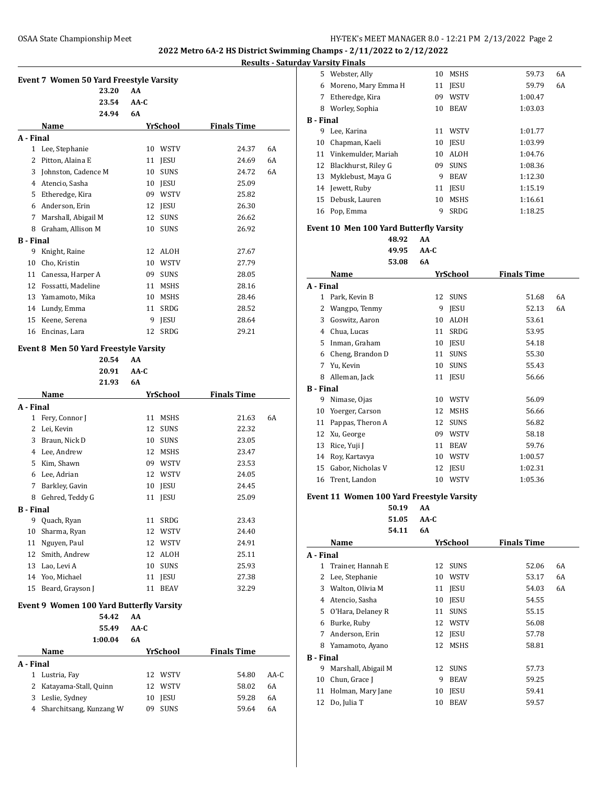**<u>Results Surday Varsity Finals</u>** 

|                  |                                                 |        |                   |                    | Results - Satı |
|------------------|-------------------------------------------------|--------|-------------------|--------------------|----------------|
|                  | <b>Event 7 Women 50 Yard Freestyle Varsity</b>  |        |                   |                    |                |
|                  | 23.20                                           | AA     |                   |                    |                |
|                  | 23.54                                           | AA-C   |                   |                    |                |
|                  | 24.94                                           | 6A     |                   |                    |                |
|                  | Name                                            |        | YrSchool          | <b>Finals Time</b> |                |
| A - Final        |                                                 |        |                   |                    |                |
|                  | 1 Lee, Stephanie                                |        | 10 WSTV           | 24.37              | 6A             |
|                  | 2 Pitton, Alaina E                              |        | 11 JESU           | 24.69              | 6A             |
|                  | 3 Johnston, Cadence M                           |        | 10<br><b>SUNS</b> | 24.72              | 6A             |
|                  | 4 Atencio, Sasha                                |        | 10 JESU           | 25.09              |                |
|                  | 5 Etheredge, Kira                               |        | 09 WSTV           | 25.82              |                |
|                  | 6 Anderson, Erin                                |        | 12 JESU           | 26.30              |                |
|                  | 7 Marshall, Abigail M                           |        | 12<br><b>SUNS</b> | 26.62              |                |
|                  | 8 Graham, Allison M                             |        | 10<br><b>SUNS</b> | 26.92              |                |
| <b>B</b> - Final |                                                 |        |                   |                    |                |
| 9                | Knight, Raine                                   |        | 12 ALOH           | 27.67              |                |
| 10               | Cho, Kristin                                    |        | 10 WSTV           | 27.79              |                |
|                  | 11 Canessa, Harper A                            |        | 09 SUNS           | 28.05              |                |
|                  | 12 Fossatti, Madeline                           |        | 11 MSHS           | 28.16              |                |
|                  | 13 Yamamoto, Mika                               |        | 10 MSHS           | 28.46              |                |
|                  | 14 Lundy, Emma                                  |        | 11<br>SRDG        | 28.52              |                |
|                  | 15 Keene, Serena                                |        | 9.<br>JESU        | 28.64              |                |
|                  | 16 Encinas, Lara                                |        | <b>SRDG</b><br>12 | 29.21              |                |
|                  |                                                 |        |                   |                    |                |
|                  | Event 8 Men 50 Yard Freestyle Varsity<br>20.54  | AA     |                   |                    |                |
|                  | 20.91                                           | $AA-C$ |                   |                    |                |
|                  | 21.93                                           | 6A     |                   |                    |                |
|                  | Name                                            |        | <b>YrSchool</b>   | <b>Finals Time</b> |                |
| A - Final        |                                                 |        |                   |                    |                |
| 1                | Fery, Connor J                                  |        | 11<br>MSHS        | 21.63              | 6A             |
|                  | 2 Lei, Kevin                                    |        | 12<br><b>SUNS</b> | 22.32              |                |
|                  | 3 Braun, Nick D                                 |        | 10 SUNS           | 23.05              |                |
|                  | 4 Lee, Andrew                                   |        | 12 MSHS           | 23.47              |                |
|                  | 5 Kim, Shawn                                    |        | 09 WSTV           | 23.53              |                |
|                  | 6 Lee, Adrian                                   |        | 12 WSTV           | 24.05              |                |
| 7                | Barkley, Gavin                                  |        | 10<br>JESU        | 24.45              |                |
| 8                | Gehred, Teddy G                                 |        | 11<br>JESU        | 25.09              |                |
| <b>B</b> - Final |                                                 |        |                   |                    |                |
| 9                | Quach, Ryan                                     |        | 11<br>SRDG        | 23.43              |                |
| 10               | Sharma, Ryan                                    |        | 12<br>WSTV        | 24.40              |                |
| 11               | Nguyen, Paul                                    |        | 12<br><b>WSTV</b> | 24.91              |                |
| 12               | Smith, Andrew                                   |        | 12<br>ALOH        | 25.11              |                |
| 13               | Lao, Levi A                                     |        | 10<br><b>SUNS</b> | 25.93              |                |
| 14               | Yoo, Michael                                    | 11     | JESU              | 27.38              |                |
| 15               | Beard, Grayson J                                |        | 11<br><b>BEAV</b> | 32.29              |                |
|                  |                                                 |        |                   |                    |                |
|                  | <b>Event 9 Women 100 Yard Butterfly Varsity</b> |        |                   |                    |                |
|                  | 54.42                                           | AA     |                   |                    |                |
|                  | 55.49                                           | AA-C   |                   |                    |                |
|                  | 1:00.04                                         | 6A     |                   |                    |                |
|                  | Name                                            |        | <b>YrSchool</b>   | <b>Finals Time</b> |                |
| A - Final        |                                                 |        |                   |                    |                |
| 1                | Lustria, Fay                                    | 12     | WSTV              | 54.80              | AA-C           |
| 2                | Katayama-Stall, Quinn                           | 12     | WSTV              | 58.02              | 6A             |
| 3                | Leslie, Sydney                                  |        | JESU<br>10        | 59.28              | 6A             |

Sharchitsang, Kunzang W 09 SUNS 59.64 6A

|                  | 5 Webster, Ally                           | 10     | MSHS           | 59.73              | 6A |
|------------------|-------------------------------------------|--------|----------------|--------------------|----|
|                  | 6 Moreno, Mary Emma H                     |        | 11 JESU        | 59.79              | 6A |
|                  | 7 Etheredge, Kira                         |        | 09 WSTV        | 1:00.47            |    |
|                  | 8 Worley, Sophia                          |        | 10 BEAV        | 1:03.03            |    |
| <b>B</b> - Final |                                           |        |                |                    |    |
|                  | 9 Lee, Karina                             |        | 11 WSTV        | 1:01.77            |    |
|                  | 10 Chapman, Kaeli                         |        | 10 JESU        | 1:03.99            |    |
|                  | 11 Vinkemulder, Mariah                    |        | 10 ALOH        | 1:04.76            |    |
|                  | 12 Blackhurst, Riley G                    | 09     | <b>SUNS</b>    | 1:08.36            |    |
|                  | 13 Myklebust, Maya G                      |        | 9 BEAV         | 1:12.30            |    |
|                  | 14 Jewett, Ruby                           |        | 11 JESU        | 1:15.19            |    |
|                  | 15 Debusk, Lauren                         | 10     | MSHS           | 1:16.61            |    |
|                  | 16 Pop, Emma                              | 9      | SRDG           | 1:18.25            |    |
|                  |                                           |        |                |                    |    |
|                  | Event 10 Men 100 Yard Butterfly Varsity   |        |                |                    |    |
|                  | 48.92                                     | AA     |                |                    |    |
|                  | 49.95                                     | AA-C   |                |                    |    |
|                  | 53.08                                     | 6A     |                |                    |    |
|                  | Name                                      |        | YrSchool       | <b>Finals Time</b> |    |
| A - Final        |                                           |        |                |                    |    |
|                  | 1 Park, Kevin B                           | 12     | <b>SUNS</b>    | 51.68              | 6A |
|                  | 2 Wangpo, Tenmy                           |        | 9 JESU         | 52.13              | 6A |
|                  | 3 Goswitz, Aaron                          |        | 10 ALOH        | 53.61              |    |
|                  | 4 Chua, Lucas                             | 11     | SRDG           | 53.95              |    |
|                  | 5 Inman, Graham                           |        | 10 JESU        | 54.18              |    |
|                  | 6 Cheng, Brandon D                        | 11     | <b>SUNS</b>    | 55.30              |    |
|                  | 7 Yu, Kevin                               | 10     | <b>SUNS</b>    | 55.43              |    |
|                  | 8 Alleman, Jack                           |        | 11 JESU        | 56.66              |    |
| <b>B</b> - Final |                                           |        |                |                    |    |
|                  | 9 Nimase, Ojas                            |        | 10 WSTV        | 56.09              |    |
|                  | 10 Yoerger, Carson                        | 12     | MSHS           | 56.66              |    |
|                  | 11 Pappas, Theron A                       |        | 12 SUNS        | 56.82              |    |
|                  | 12 Xu, George                             |        | 09 WSTV        | 58.18              |    |
|                  | 13 Rice, Yuji J                           |        | 11 BEAV        | 59.76              |    |
|                  | 14 Roy, Kartavya                          |        | 10 WSTV        | 1:00.57            |    |
|                  | 15 Gabor, Nicholas V                      | 12     | <b>JESU</b>    | 1:02.31            |    |
|                  | 16 Trent, Landon                          | 10     | <b>WSTV</b>    | 1:05.36            |    |
|                  | Event 11 Women 100 Yard Freestyle Varsity |        |                |                    |    |
|                  | 50.19                                     | AA     |                |                    |    |
|                  | 51.05                                     | $AA-C$ |                |                    |    |
|                  | 54.11                                     | 6A     |                |                    |    |
|                  | Name                                      |        | YrSchool       | <b>Finals Time</b> |    |
| A - Final        |                                           |        |                |                    |    |
|                  | 1 Trainer, Hannah E                       | 12     | <b>SUNS</b>    | 52.06              | 6A |
|                  | 2 Lee, Stephanie                          | 10     | WSTV           | 53.17              | 6A |
|                  | 3 Walton, Olivia M                        |        | 11 <b>IESU</b> | 54.03              | 6A |
|                  | 4 Atencio. Sasha                          |        | 10 JESU        | 54.55              |    |
|                  | 5 O'Hara, Delaney R                       | 11     | <b>SUNS</b>    | 55.15              |    |
|                  | 6 Burke, Ruby                             | 12     | WSTV           | 56.08              |    |
|                  | 7 Anderson, Erin                          |        | 12 JESU        | 57.78              |    |
|                  | 8 Yamamoto, Ayano                         | 12     | MSHS           | 58.81              |    |
| <b>B</b> - Final |                                           |        |                |                    |    |
|                  | 9 Marshall, Abigail M                     |        | 12 SUNS        | 57.73              |    |
|                  | 10 Chun, Grace J                          |        | 9 BEAV         | 59.25              |    |
|                  | 11 Holman, Mary Jane                      |        | 10 JESU        | 59.41              |    |
| 12               | Do, Julia T                               | 10     | <b>BEAV</b>    | 59.57              |    |
|                  |                                           |        |                |                    |    |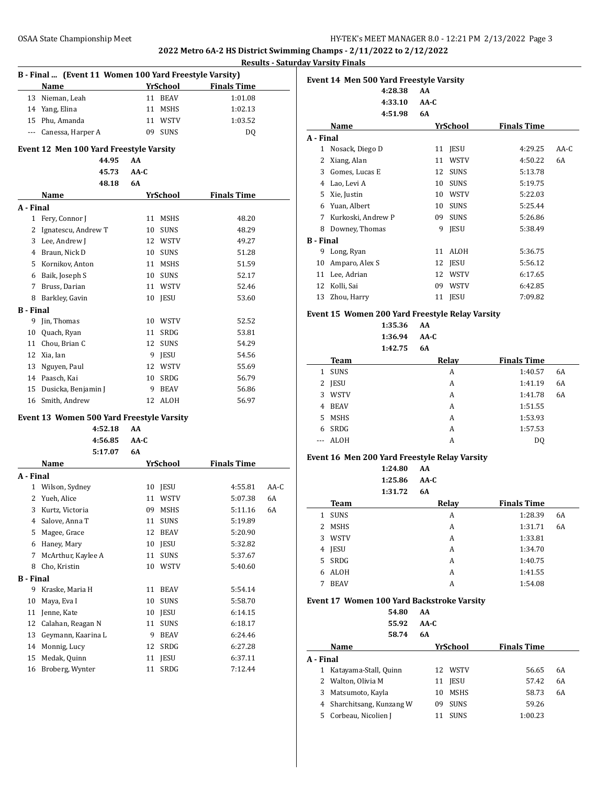**Results - Saturday Varsity Finals**

 $\overline{a}$ 

|                  | B - Final  (Event 11 Women 100 Yard Freestyle Varsity) |      |                 | ncount             | <u>satu</u> |
|------------------|--------------------------------------------------------|------|-----------------|--------------------|-------------|
|                  | Name                                                   |      | <b>YrSchool</b> | <b>Finals Time</b> |             |
| 13               | Nieman, Leah                                           |      | 11 BEAV         | 1:01.08            |             |
|                  | 14 Yang, Elina                                         | 11   | MSHS            | 1:02.13            |             |
|                  | 15 Phu, Amanda                                         |      | 11 WSTV         | 1:03.52            |             |
|                  | --- Canessa, Harper A                                  |      | 09 SUNS         | DQ                 |             |
|                  |                                                        |      |                 |                    |             |
|                  | Event 12 Men 100 Yard Freestyle Varsity                |      |                 |                    |             |
|                  | 44.95                                                  | AA   |                 |                    |             |
|                  | 45.73                                                  | AA-C |                 |                    |             |
|                  | 48.18                                                  | 6A   |                 |                    |             |
|                  | Name                                                   |      | YrSchool        | <b>Finals Time</b> |             |
| A - Final        |                                                        |      |                 |                    |             |
|                  | 1 Fery, Connor J                                       |      | 11 MSHS         | 48.20              |             |
|                  | 2 Ignatescu, Andrew T                                  |      | 10 SUNS         | 48.29              |             |
|                  | 3 Lee, Andrew J                                        |      | 12 WSTV         | 49.27              |             |
|                  | 4 Braun, Nick D                                        |      | 10 SUNS         | 51.28              |             |
|                  | 5 Kornikov, Anton                                      |      | 11 MSHS         | 51.59              |             |
|                  | 6 Baik, Joseph S                                       |      | 10 SUNS         | 52.17              |             |
|                  | 7 Bruss, Darian                                        |      | 11 WSTV         | 52.46              |             |
| 8                | Barkley, Gavin                                         |      | 10 JESU         | 53.60              |             |
| <b>B</b> - Final |                                                        |      |                 |                    |             |
| 9                | Jin, Thomas                                            |      | 10 WSTV         | 52.52              |             |
| 10               | Quach, Ryan                                            |      | 11 SRDG         | 53.81              |             |
|                  | 11 Chou, Brian C                                       |      | 12 SUNS         | 54.29              |             |
|                  | 12 Xia, Ian                                            |      | 9 JESU          | 54.56              |             |
|                  | 13 Nguyen, Paul                                        |      | 12 WSTV         | 55.69              |             |
|                  | 14 Paasch, Kai                                         |      | 10 SRDG         | 56.79              |             |
|                  | 15 Dusicka, Benjamin J                                 | 9    | BEAV            | 56.86              |             |
|                  | 16 Smith, Andrew                                       |      | 12 ALOH         | 56.97              |             |
|                  | <b>Event 13 Women 500 Yard Freestyle Varsity</b>       |      |                 |                    |             |
|                  | 4:52.18                                                | AA   |                 |                    |             |
|                  | 4:56.85                                                | AA-C |                 |                    |             |
|                  | 5:17.07                                                | 6A   |                 |                    |             |
|                  | Name                                                   |      | YrSchool        | <b>Finals Time</b> |             |
| A - Final        |                                                        |      |                 |                    |             |
| 1                | Wilson, Sydney                                         |      | 10 JESU         | 4:55.81            | AA-C        |
| 2                | Yueh, Alice                                            |      | 11 WSTV         | 5:07.38            | 6A          |
|                  | 3 Kurtz, Victoria                                      |      | 09 MSHS         | 5:11.16            | 6A          |
|                  | 4 Salove, Anna T                                       | 11   | SUNS            | 5:19.89            |             |
| 5                | Magee, Grace                                           | 12   | BEAV            | 5:20.90            |             |
|                  | 6 Haney, Mary                                          | 10   | JESU            | 5:32.82            |             |
| 7                | McArthur, Kaylee A                                     | 11   | SUNS            | 5:37.67            |             |
| 8                | Cho, Kristin                                           | 10   | WSTV            | 5:40.60            |             |
| <b>B</b> - Final |                                                        |      |                 |                    |             |
| 9                | Kraske, Maria H                                        | 11   | <b>BEAV</b>     | 5:54.14            |             |
| 10               | Maya, Eva I                                            | 10   | <b>SUNS</b>     | 5:58.70            |             |
| 11               | Jenne, Kate                                            | 10   | JESU            | 6:14.15            |             |
| 12               | Calahan, Reagan N                                      | 11   | <b>SUNS</b>     | 6:18.17            |             |
| 13               | Geymann, Kaarina L                                     | 9    | <b>BEAV</b>     | 6:24.46            |             |
| 14               | Monnig, Lucy                                           | 12   | SRDG            | 6:27.28            |             |
| 15               | Medak, Quinn                                           | 11   | JESU            | 6:37.11            |             |
| 16               | Broberg, Wynter                                        | 11   | ${\tt SRDG}$    | 7:12.44            |             |

|                  | 4:28.38            | AA<br>$AA-C$ |             |                    |        |
|------------------|--------------------|--------------|-------------|--------------------|--------|
|                  | 4:33.10<br>4:51.98 | 6A           |             |                    |        |
|                  |                    |              |             |                    |        |
|                  | Name               |              | YrSchool    | <b>Finals Time</b> |        |
| A - Final        |                    |              |             |                    |        |
| 1                | Nosack, Diego D    | 11           | <b>IESU</b> | 4:29.25            | $AA-C$ |
| 2                | Xiang, Alan        | 11           | WSTV        | 4:50.22            | 6A     |
| 3                | Gomes, Lucas E     | 12           | <b>SUNS</b> | 5:13.78            |        |
| 4                | Lao, Levi A        | 10           | <b>SUNS</b> | 5:19.75            |        |
| 5                | Xie, Justin        | 10           | <b>WSTV</b> | 5:22.03            |        |
| 6                | Yuan, Albert       | 10           | <b>SUNS</b> | 5:25.44            |        |
| 7                | Kurkoski, Andrew P | 09           | <b>SUNS</b> | 5:26.86            |        |
| 8                | Downey, Thomas     | 9            | <b>JESU</b> | 5:38.49            |        |
| <b>B</b> - Final |                    |              |             |                    |        |
| 9                | Long, Ryan         | 11           | <b>ALOH</b> | 5:36.75            |        |
| 10               | Amparo, Alex S     | 12           | <b>IESU</b> | 5:56.12            |        |
| 11               | Lee, Adrian        | 12           | <b>WSTV</b> | 6:17.65            |        |
| 12               | Kolli, Sai         | 09           | <b>WSTV</b> | 6:42.85            |        |
| 13               | Zhou, Harry        | 11           | <b>JESU</b> | 7:09.82            |        |

**1:35.36 AA 1:36.94 AA-C 1:42.75 6A**

|       | Team        | Relay | <b>Finals Time</b> |    |
|-------|-------------|-------|--------------------|----|
|       | 1 SUNS      | A     | 1:40.57            | 6A |
| 2     | <b>JESU</b> | A     | 1:41.19            | 6A |
| 3     | WSTV        | A     | 1:41.78            | 6A |
| 4     | BEAV        | A     | 1:51.55            |    |
| 5.    | MSHS        | A     | 1:53.93            |    |
| 6     | SRDG        | A     | 1:57.53            |    |
| $---$ | <b>ALOH</b> | А     | DO                 |    |

### **Event 16 Men 200 Yard Freestyle Relay Varsity**

|                |             | 1:24.80 | AA        |                    |    |
|----------------|-------------|---------|-----------|--------------------|----|
|                |             | 1:25.86 | $AA-C$    |                    |    |
|                |             | 1:31.72 | <b>6A</b> |                    |    |
|                | <b>Team</b> |         | Relay     | <b>Finals Time</b> |    |
| $\mathbf{1}$   | <b>SUNS</b> |         | A         | 1:28.39            | 6A |
| 2              | <b>MSHS</b> |         | A         | 1:31.71            | 6A |
| 3              | <b>WSTV</b> |         | A         | 1:33.81            |    |
| 4              | <b>JESU</b> |         | A         | 1:34.70            |    |
| 5 <sup>1</sup> | SRDG        |         | A         | 1:40.75            |    |
| 6              | <b>ALOH</b> |         | A         | 1:41.55            |    |
| 7              | <b>BEAV</b> |         | А         | 1:54.08            |    |
|                |             |         |           |                    |    |

## **Event 17 Women 100 Yard Backstroke Varsity**

**54.80 AA**

| 55.92 | AA-C |
|-------|------|
| 58.74 | 6A   |

|           | Name                      | YrSchool          | <b>Finals Time</b> |    |  |  |  |
|-----------|---------------------------|-------------------|--------------------|----|--|--|--|
| A - Final |                           |                   |                    |    |  |  |  |
|           | Katayama-Stall, Quinn     | 12 WSTV           | 56.65              | 6A |  |  |  |
|           | 2 Walton, Olivia M        | <b>IESU</b><br>11 | 57.42              | 6A |  |  |  |
|           | 3 Matsumoto, Kayla        | <b>MSHS</b><br>10 | 58.73              | 6A |  |  |  |
|           | 4 Sharchitsang, Kunzang W | <b>SUNS</b><br>09 | 59.26              |    |  |  |  |
| 5.        | Corbeau, Nicolien J       | <b>SUNS</b>       | 1:00.23            |    |  |  |  |